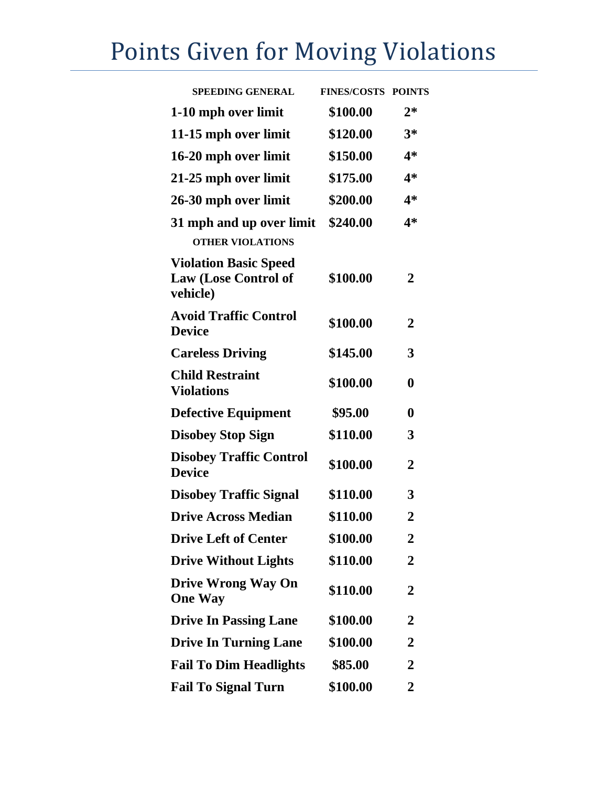## Points Given for Moving Violations

| <b>SPEEDING GENERAL</b>                                                 | <b>FINES/COSTS POINTS</b> |                  |
|-------------------------------------------------------------------------|---------------------------|------------------|
| 1-10 mph over limit                                                     | \$100.00                  | $2*$             |
| 11-15 mph over limit                                                    | \$120.00                  | $3*$             |
| 16-20 mph over limit                                                    | \$150.00                  | $4*$             |
| 21-25 mph over limit                                                    | \$175.00                  | $4*$             |
| 26-30 mph over limit                                                    | \$200.00                  | 4*               |
| 31 mph and up over limit                                                | \$240.00                  | $4*$             |
| <b>OTHER VIOLATIONS</b>                                                 |                           |                  |
| <b>Violation Basic Speed</b><br><b>Law (Lose Control of</b><br>vehicle) | \$100.00                  | 2                |
| <b>Avoid Traffic Control</b><br><b>Device</b>                           | \$100.00                  | $\overline{2}$   |
| <b>Careless Driving</b>                                                 | \$145.00                  | 3                |
| <b>Child Restraint</b><br><b>Violations</b>                             | \$100.00                  | 0                |
| <b>Defective Equipment</b>                                              | \$95.00                   | $\boldsymbol{0}$ |
| <b>Disobey Stop Sign</b>                                                | \$110.00                  | 3                |
| <b>Disobey Traffic Control</b><br><b>Device</b>                         | \$100.00                  | $\overline{2}$   |
| <b>Disobey Traffic Signal</b>                                           | \$110.00                  | 3                |
| <b>Drive Across Median</b>                                              | \$110.00                  | $\overline{2}$   |
| <b>Drive Left of Center</b>                                             | \$100.00                  | 2                |
| <b>Drive Without Lights</b>                                             | \$110.00                  | 2                |
| <b>Drive Wrong Way On</b><br><b>One Way</b>                             | \$110.00                  | 2                |
| <b>Drive In Passing Lane</b>                                            | \$100.00                  | $\mathbf 2$      |
| <b>Drive In Turning Lane</b>                                            | \$100.00                  | 2                |
| <b>Fail To Dim Headlights</b>                                           | \$85.00                   | 2                |
| <b>Fail To Signal Turn</b>                                              | \$100.00                  | 2                |